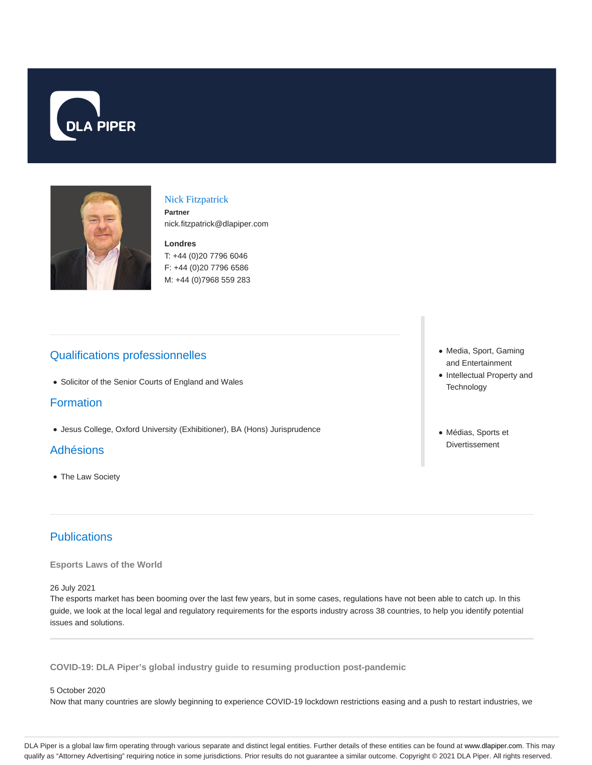



#### Nick Fitzpatrick

**Partner** nick.fitzpatrick@dlapiper.com

**Londres** T: +44 (0)20 7796 6046 F: +44 (0)20 7796 6586 M: +44 (0)7968 559 283

# Qualifications professionnelles

Solicitor of the Senior Courts of England and Wales

## Formation

Jesus College, Oxford University (Exhibitioner), BA (Hons) Jurisprudence

### Adhésions

The Law Society

# **Publications**

**Esports Laws of the World**

26 July 2021

The esports market has been booming over the last few years, but in some cases, regulations have not been able to catch up. In this guide, we look at the local legal and regulatory requirements for the esports industry across 38 countries, to help you identify potential issues and solutions.

**COVID-19: DLA Piper's global industry guide to resuming production post-pandemic**

#### 5 October 2020

Now that many countries are slowly beginning to experience COVID-19 lockdown restrictions easing and a push to restart industries, we

- Media, Sport, Gaming and Entertainment
- Intellectual Property and **Technology**
- Médias, Sports et Divertissement

DLA Piper is a global law firm operating through various separate and distinct legal entities. Further details of these entities can be found at www.dlapiper.com. This may qualify as "Attorney Advertising" requiring notice in some jurisdictions. Prior results do not guarantee a similar outcome. Copyright © 2021 DLA Piper. All rights reserved.